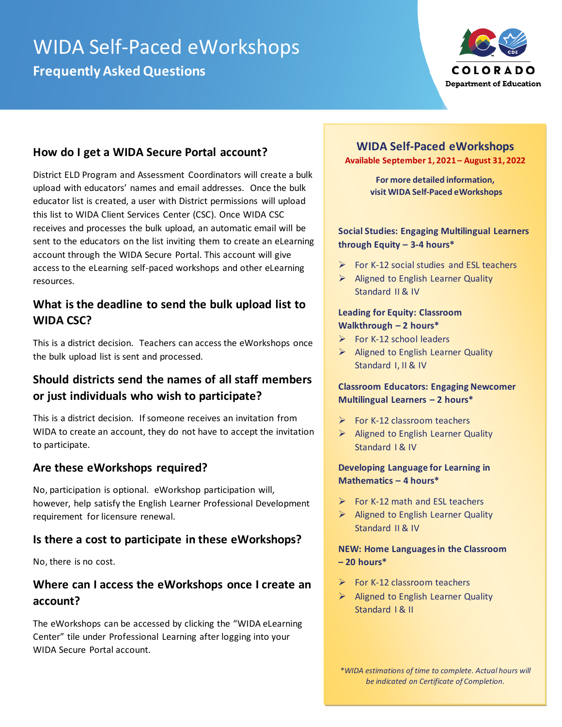# WIDA Self-Paced eWorkshops **Frequently Asked Questions**



# **How do I get a WIDA Secure Portal account?**

District ELD Program and Assessment Coordinators will create a bulk upload with educators' names and email addresses. Once the bulk educator list is created, a user with District permissions will upload this list to WIDA Client Services Center (CSC). Once WIDA CSC receives and processes the bulk upload, an automatic email will be sent to the educators on the list inviting them to create an eLearning account through the WIDA Secure Portal. This account will give access to the eLearning self-paced workshops and other eLearning resources.

# **What is the deadline to send the bulk upload list to WIDA CSC?**

This is a district decision. Teachers can access the eWorkshops once the bulk upload list is sent and processed.

# **Should districts send the names of all staff members or just individuals who wish to participate?**

This is a district decision. If someone receives an invitation from WIDA to create an account, they do not have to accept the invitation to participate.

### **Are these eWorkshops required?**

No, participation is optional. eWorkshop participation will, however, help satisfy the English Learner Professional Development requirement for licensure renewal.

### **Is there a cost to participate in these eWorkshops?**

No, there is no cost.

# **Where can I access the eWorkshops once I create an account?**

The eWorkshops can be accessed by clicking the "WIDA eLearning Center" tile under Professional Learning after logging into your WIDA Secure Portal account.

#### **WIDA Self-Paced eWorkshops Available September 1, 2021 – August 31, 2022**

**For more detailed information, visit WIDA Self-Paced eWorkshops**

#### **Social Studies: Engaging Multilingual Learners through Equity – 3-4 hours\***

- $\triangleright$  For K-12 social studies and ESL teachers
- $\triangleright$  Aligned to English Learner Quality Standard II & IV

#### **Leading for Equity: Classroom Walkthrough – 2 hours\***

- $\triangleright$  For K-12 school leaders
- ➢ Aligned to English Learner Quality Standard I, II & IV

#### **Classroom Educators: Engaging Newcomer Multilingual Learners – 2 hours\***

- $\triangleright$  For K-12 classroom teachers
- ➢ Aligned to English Learner Quality Standard I & IV

#### **Developing Language for Learning in Mathematics – 4 hours\***

- $\triangleright$  For K-12 math and ESL teachers
- ➢ Aligned to English Learner Quality Standard II & IV

#### **NEW: Home Languages in the Classroom – 20 hours\***

- $\triangleright$  For K-12 classroom teachers
- ➢ Aligned to English Learner Quality Standard | & II

*\*WIDA estimations of time to complete. Actual hours will be indicated on Certificate of Completion.*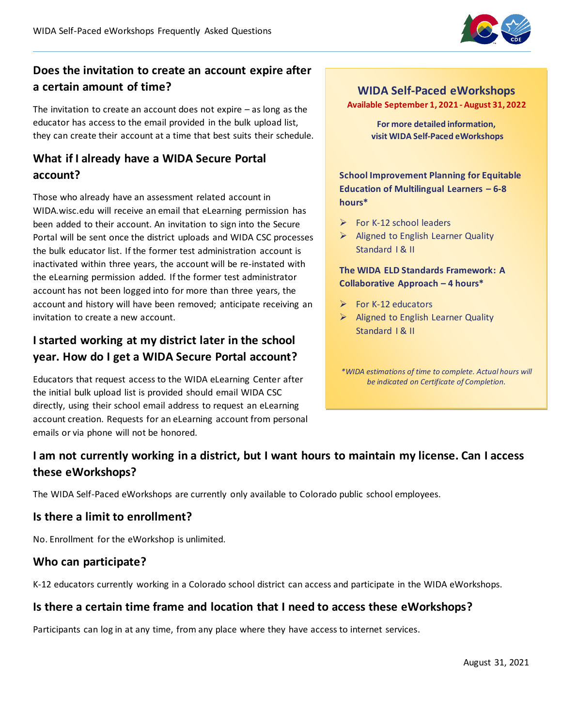

# **Does the invitation to create an account expire after a certain amount of time?**

The invitation to create an account does not expire – as long as the educator has access to the email provided in the bulk upload list, they can create their account at a time that best suits their schedule.

# **What if I already have a WIDA Secure Portal account?**

Those who already have an assessment related account in WIDA.wisc.edu will receive an email that eLearning permission has been added to their account. An invitation to sign into the Secure Portal will be sent once the district uploads and WIDA CSC processes the bulk educator list. If the former test administration account is inactivated within three years, the account will be re-instated with the eLearning permission added. If the former test administrator account has not been logged into for more than three years, the account and history will have been removed; anticipate receiving an invitation to create a new account.

# **I started working at my district later in the school year. How do I get a WIDA Secure Portal account?**

Educators that request access to the WIDA eLearning Center after the initial bulk upload list is provided should email WIDA CSC directly, using their school email address to request an eLearning account creation. Requests for an eLearning account from personal emails or via phone will not be honored.

# **WIDA Self-Paced eWorkshops**

**Available September 1, 2021 - August 31, 2022**

**For more detailed information, visit WIDA Self-Paced eWorkshops**

**School Improvement Planning for Equitable Education of Multilingual Learners – 6-8 hours\***

- $\triangleright$  For K-12 school leaders
- $\triangleright$  Aligned to English Learner Quality Standard I & II

**The WIDA ELD Standards Framework: A Collaborative Approach – 4 hours\***

- $\triangleright$  For K-12 educators
- ➢ Aligned to English Learner Quality Standard | & II

*\*WIDA estimations of time to complete. Actual hours will be indicated on Certificate of Completion.*

# **I am not currently working in a district, but I want hours to maintain my license. Can I access these eWorkshops?**

The WIDA Self-Paced eWorkshops are currently only available to Colorado public school employees.

### **Is there a limit to enrollment?**

No. Enrollment for the eWorkshop is unlimited.

#### **Who can participate?**

K-12 educators currently working in a Colorado school district can access and participate in the WIDA eWorkshops.

### **Is there a certain time frame and location that I need to access these eWorkshops?**

Participants can log in at any time, from any place where they have access to internet services.